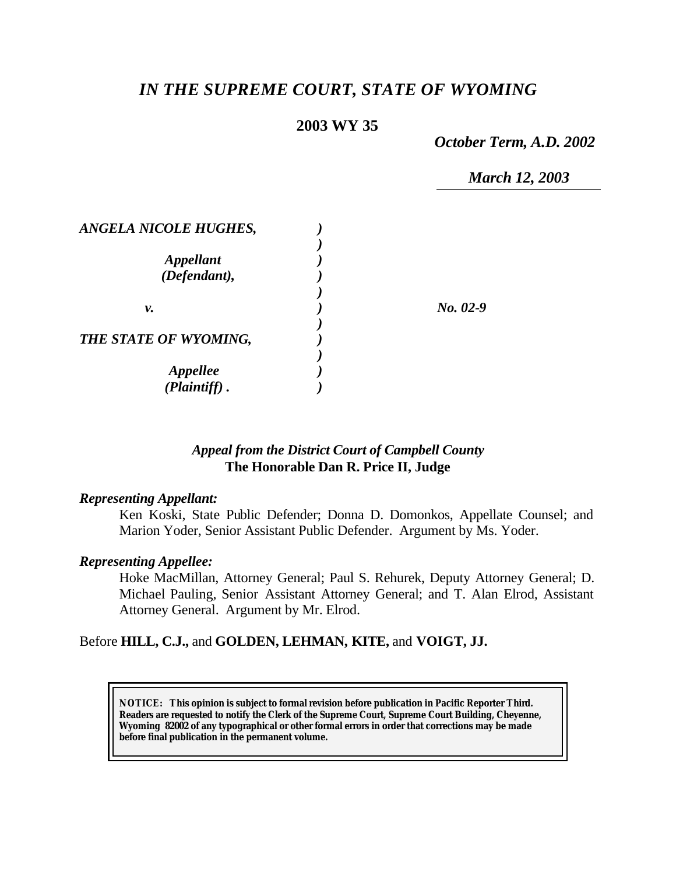# *IN THE SUPREME COURT, STATE OF WYOMING*

# **2003 WY 35**

*October Term, A.D. 2002*

*March 12, 2003*

| <b>ANGELA NICOLE HUGHES,</b>              |          |
|-------------------------------------------|----------|
| <b>Appellant</b><br>(Defendant),          |          |
| ν.                                        | No. 02-9 |
| THE STATE OF WYOMING,                     |          |
| <i><b>Appellee</b></i><br>$(Plaintiff)$ . |          |

### *Appeal from the District Court of Campbell County* **The Honorable Dan R. Price II, Judge**

### *Representing Appellant:*

Ken Koski, State Public Defender; Donna D. Domonkos, Appellate Counsel; and Marion Yoder, Senior Assistant Public Defender. Argument by Ms. Yoder.

### *Representing Appellee:*

Hoke MacMillan, Attorney General; Paul S. Rehurek, Deputy Attorney General; D. Michael Pauling, Senior Assistant Attorney General; and T. Alan Elrod, Assistant Attorney General. Argument by Mr. Elrod.

### Before **HILL, C.J.,** and **GOLDEN, LEHMAN, KITE,** and **VOIGT, JJ.**

**NOTICE:** *This opinion is subject to formal revision before publication in Pacific Reporter Third. Readers are requested to notify the Clerk of the Supreme Court, Supreme Court Building, Cheyenne, Wyoming 82002 of any typographical or other formal errors in order that corrections may be made before final publication in the permanent volume.*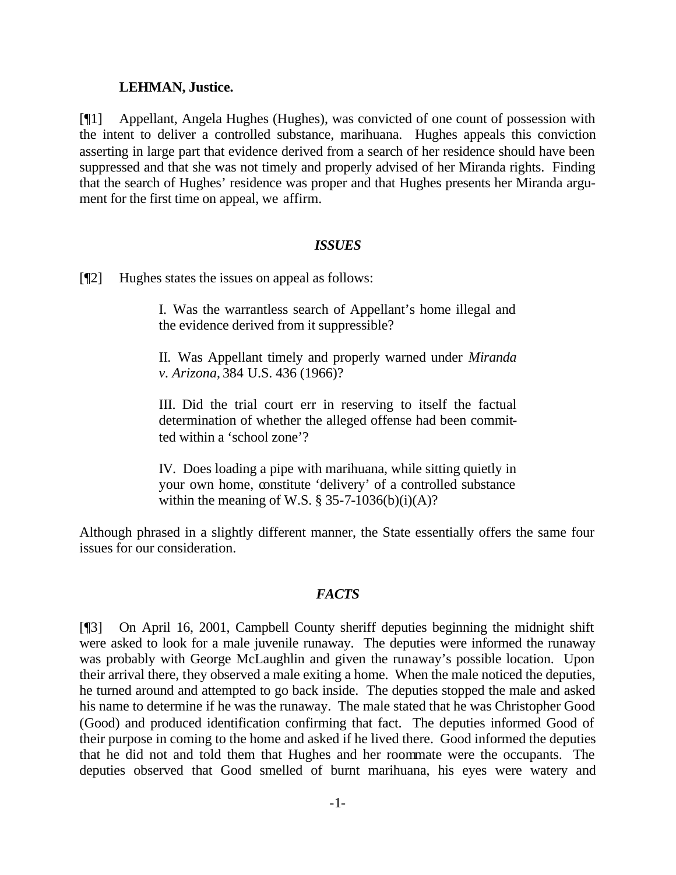#### **LEHMAN, Justice.**

[¶1] Appellant, Angela Hughes (Hughes), was convicted of one count of possession with the intent to deliver a controlled substance, marihuana. Hughes appeals this conviction asserting in large part that evidence derived from a search of her residence should have been suppressed and that she was not timely and properly advised of her Miranda rights. Finding that the search of Hughes' residence was proper and that Hughes presents her Miranda argument for the first time on appeal, we affirm.

### *ISSUES*

[¶2] Hughes states the issues on appeal as follows:

I. Was the warrantless search of Appellant's home illegal and the evidence derived from it suppressible?

II. Was Appellant timely and properly warned under *Miranda v. Arizona*, 384 U.S. 436 (1966)?

III. Did the trial court err in reserving to itself the factual determination of whether the alleged offense had been committed within a 'school zone'?

IV. Does loading a pipe with marihuana, while sitting quietly in your own home, constitute 'delivery' of a controlled substance within the meaning of W.S.  $\S 35-7-1036(b)(i)(A)?$ 

Although phrased in a slightly different manner, the State essentially offers the same four issues for our consideration.

### *FACTS*

[¶3] On April 16, 2001, Campbell County sheriff deputies beginning the midnight shift were asked to look for a male juvenile runaway. The deputies were informed the runaway was probably with George McLaughlin and given the runaway's possible location. Upon their arrival there, they observed a male exiting a home. When the male noticed the deputies, he turned around and attempted to go back inside. The deputies stopped the male and asked his name to determine if he was the runaway. The male stated that he was Christopher Good (Good) and produced identification confirming that fact. The deputies informed Good of their purpose in coming to the home and asked if he lived there. Good informed the deputies that he did not and told them that Hughes and her roommate were the occupants. The deputies observed that Good smelled of burnt marihuana, his eyes were watery and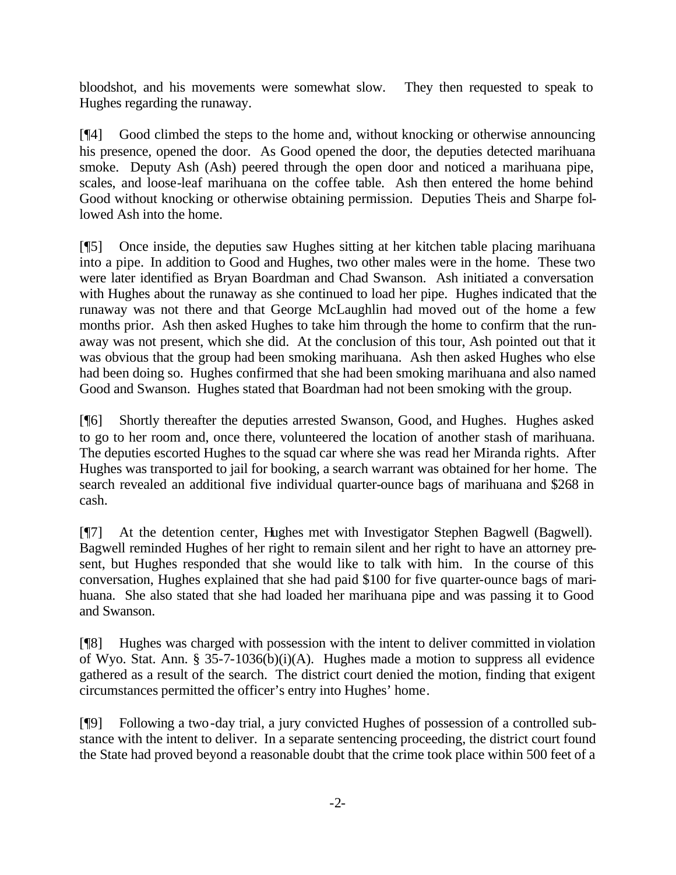bloodshot, and his movements were somewhat slow. They then requested to speak to Hughes regarding the runaway.

[¶4] Good climbed the steps to the home and, without knocking or otherwise announcing his presence, opened the door. As Good opened the door, the deputies detected marihuana smoke. Deputy Ash (Ash) peered through the open door and noticed a marihuana pipe, scales, and loose-leaf marihuana on the coffee table. Ash then entered the home behind Good without knocking or otherwise obtaining permission. Deputies Theis and Sharpe followed Ash into the home.

[¶5] Once inside, the deputies saw Hughes sitting at her kitchen table placing marihuana into a pipe. In addition to Good and Hughes, two other males were in the home. These two were later identified as Bryan Boardman and Chad Swanson. Ash initiated a conversation with Hughes about the runaway as she continued to load her pipe. Hughes indicated that the runaway was not there and that George McLaughlin had moved out of the home a few months prior. Ash then asked Hughes to take him through the home to confirm that the runaway was not present, which she did. At the conclusion of this tour, Ash pointed out that it was obvious that the group had been smoking marihuana. Ash then asked Hughes who else had been doing so. Hughes confirmed that she had been smoking marihuana and also named Good and Swanson. Hughes stated that Boardman had not been smoking with the group.

[¶6] Shortly thereafter the deputies arrested Swanson, Good, and Hughes. Hughes asked to go to her room and, once there, volunteered the location of another stash of marihuana. The deputies escorted Hughes to the squad car where she was read her Miranda rights. After Hughes was transported to jail for booking, a search warrant was obtained for her home. The search revealed an additional five individual quarter-ounce bags of marihuana and \$268 in cash.

[¶7] At the detention center, Hughes met with Investigator Stephen Bagwell (Bagwell). Bagwell reminded Hughes of her right to remain silent and her right to have an attorney present, but Hughes responded that she would like to talk with him. In the course of this conversation, Hughes explained that she had paid \$100 for five quarter-ounce bags of marihuana. She also stated that she had loaded her marihuana pipe and was passing it to Good and Swanson.

[¶8] Hughes was charged with possession with the intent to deliver committed in violation of Wyo. Stat. Ann. § 35-7-1036(b)(i)(A). Hughes made a motion to suppress all evidence gathered as a result of the search. The district court denied the motion, finding that exigent circumstances permitted the officer's entry into Hughes' home.

[¶9] Following a two-day trial, a jury convicted Hughes of possession of a controlled substance with the intent to deliver. In a separate sentencing proceeding, the district court found the State had proved beyond a reasonable doubt that the crime took place within 500 feet of a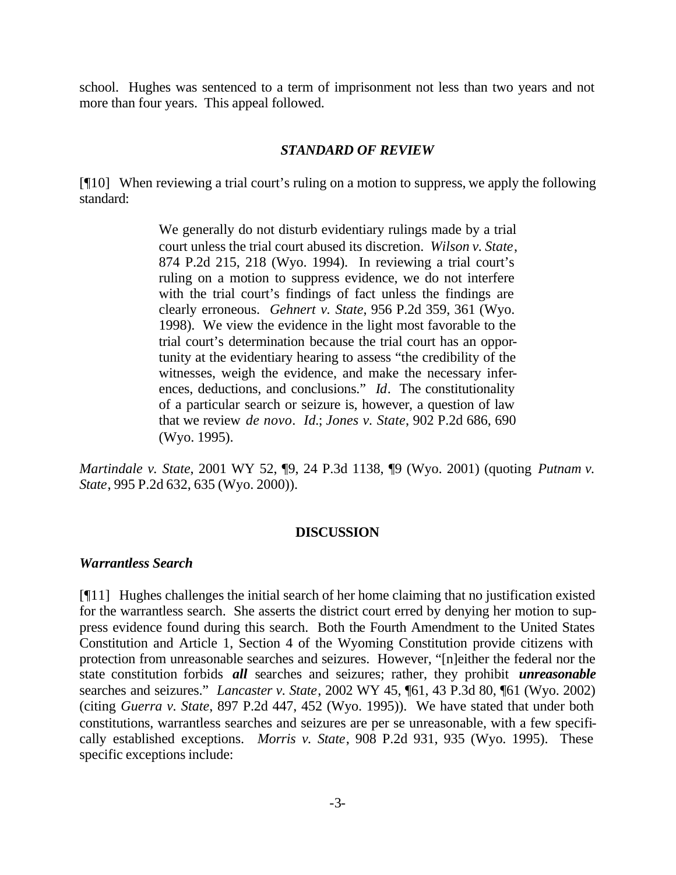school. Hughes was sentenced to a term of imprisonment not less than two years and not more than four years. This appeal followed.

#### *STANDARD OF REVIEW*

[¶10] When reviewing a trial court's ruling on a motion to suppress, we apply the following standard:

> We generally do not disturb evidentiary rulings made by a trial court unless the trial court abused its discretion. *Wilson v. State*, 874 P.2d 215, 218 (Wyo. 1994). In reviewing a trial court's ruling on a motion to suppress evidence, we do not interfere with the trial court's findings of fact unless the findings are clearly erroneous. *Gehnert v. State*, 956 P.2d 359, 361 (Wyo. 1998). We view the evidence in the light most favorable to the trial court's determination because the trial court has an opportunity at the evidentiary hearing to assess "the credibility of the witnesses, weigh the evidence, and make the necessary inferences, deductions, and conclusions." *Id*. The constitutionality of a particular search or seizure is, however, a question of law that we review *de novo*. *Id.*; *Jones v. State*, 902 P.2d 686, 690 (Wyo. 1995).

*Martindale v. State*, 2001 WY 52, ¶9, 24 P.3d 1138, ¶9 (Wyo. 2001) (quoting *Putnam v. State*, 995 P.2d 632, 635 (Wyo. 2000)).

#### **DISCUSSION**

#### *Warrantless Search*

[¶11] Hughes challenges the initial search of her home claiming that no justification existed for the warrantless search. She asserts the district court erred by denying her motion to suppress evidence found during this search. Both the Fourth Amendment to the United States Constitution and Article 1, Section 4 of the Wyoming Constitution provide citizens with protection from unreasonable searches and seizures. However, "[n]either the federal nor the state constitution forbids *all* searches and seizures; rather, they prohibit *unreasonable* searches and seizures." *Lancaster v. State*, 2002 WY 45, ¶61, 43 P.3d 80, ¶61 (Wyo. 2002) (citing *Guerra v. State*, 897 P.2d 447, 452 (Wyo. 1995)). We have stated that under both constitutions, warrantless searches and seizures are per se unreasonable, with a few specifically established exceptions. *Morris v. State*, 908 P.2d 931, 935 (Wyo. 1995). These specific exceptions include: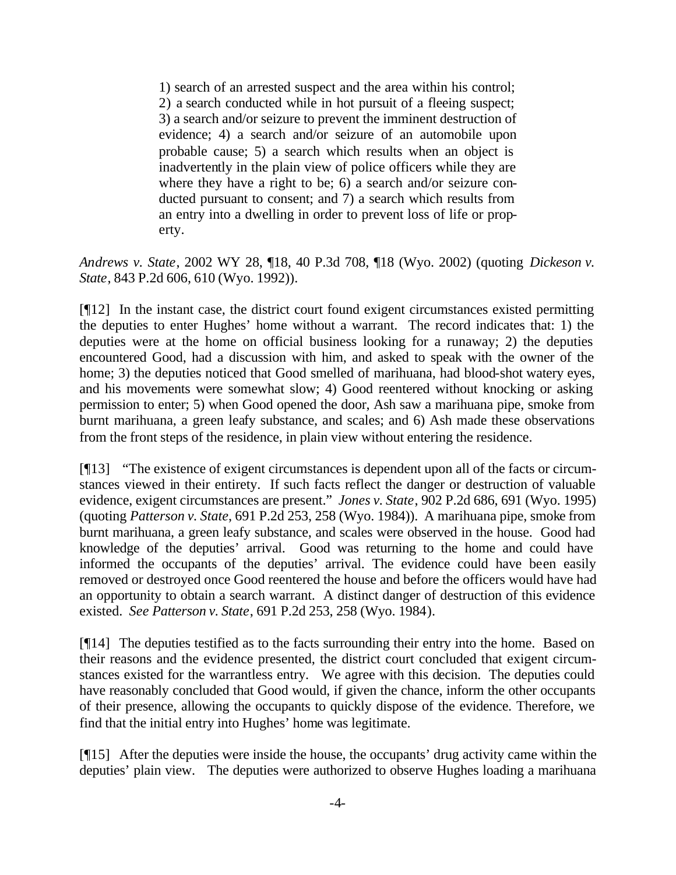1) search of an arrested suspect and the area within his control; 2) a search conducted while in hot pursuit of a fleeing suspect; 3) a search and/or seizure to prevent the imminent destruction of evidence; 4) a search and/or seizure of an automobile upon probable cause; 5) a search which results when an object is inadvertently in the plain view of police officers while they are where they have a right to be; 6) a search and/or seizure conducted pursuant to consent; and 7) a search which results from an entry into a dwelling in order to prevent loss of life or property.

*Andrews v. State*, 2002 WY 28, ¶18, 40 P.3d 708, ¶18 (Wyo. 2002) (quoting *Dickeson v. State*, 843 P.2d 606, 610 (Wyo. 1992)).

[¶12] In the instant case, the district court found exigent circumstances existed permitting the deputies to enter Hughes' home without a warrant. The record indicates that: 1) the deputies were at the home on official business looking for a runaway; 2) the deputies encountered Good, had a discussion with him, and asked to speak with the owner of the home; 3) the deputies noticed that Good smelled of marihuana, had blood-shot watery eyes, and his movements were somewhat slow; 4) Good reentered without knocking or asking permission to enter; 5) when Good opened the door, Ash saw a marihuana pipe, smoke from burnt marihuana, a green leafy substance, and scales; and 6) Ash made these observations from the front steps of the residence, in plain view without entering the residence.

[¶13] "The existence of exigent circumstances is dependent upon all of the facts or circumstances viewed in their entirety. If such facts reflect the danger or destruction of valuable evidence, exigent circumstances are present." *Jones v. State*, 902 P.2d 686, 691 (Wyo. 1995) (quoting *Patterson v. State*, 691 P.2d 253, 258 (Wyo. 1984)). A marihuana pipe, smoke from burnt marihuana, a green leafy substance, and scales were observed in the house. Good had knowledge of the deputies' arrival. Good was returning to the home and could have informed the occupants of the deputies' arrival. The evidence could have been easily removed or destroyed once Good reentered the house and before the officers would have had an opportunity to obtain a search warrant. A distinct danger of destruction of this evidence existed. *See Patterson v. State*, 691 P.2d 253, 258 (Wyo. 1984).

[¶14] The deputies testified as to the facts surrounding their entry into the home. Based on their reasons and the evidence presented, the district court concluded that exigent circumstances existed for the warrantless entry. We agree with this decision. The deputies could have reasonably concluded that Good would, if given the chance, inform the other occupants of their presence, allowing the occupants to quickly dispose of the evidence. Therefore, we find that the initial entry into Hughes' home was legitimate.

[¶15] After the deputies were inside the house, the occupants' drug activity came within the deputies' plain view. The deputies were authorized to observe Hughes loading a marihuana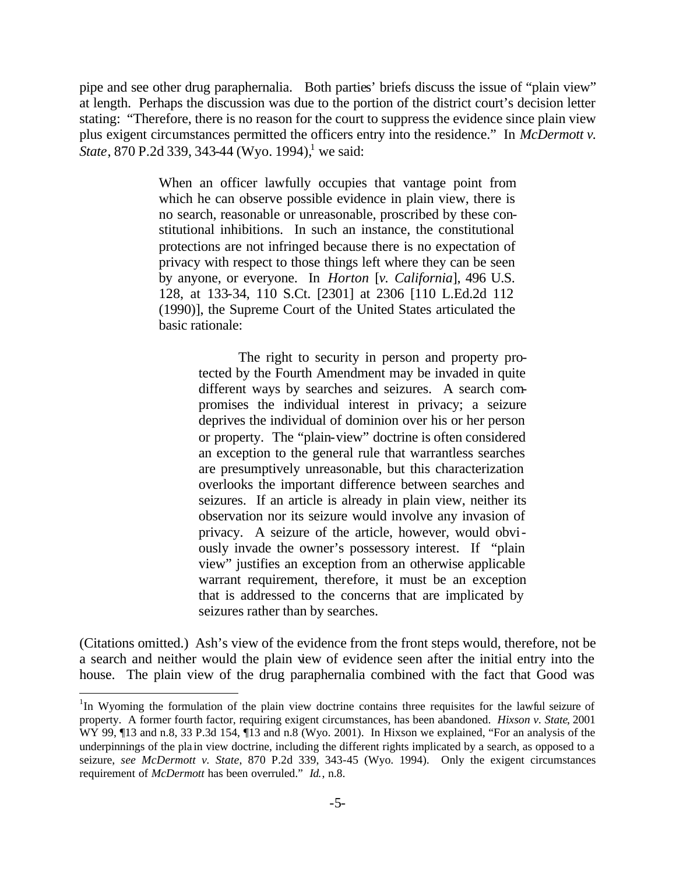pipe and see other drug paraphernalia. Both parties' briefs discuss the issue of "plain view" at length. Perhaps the discussion was due to the portion of the district court's decision letter stating: "Therefore, there is no reason for the court to suppress the evidence since plain view plus exigent circumstances permitted the officers entry into the residence." In *McDermott v. State*, 870 P.2d 339, 343-44 (Wyo. 1994),<sup>1</sup> we said:

> When an officer lawfully occupies that vantage point from which he can observe possible evidence in plain view, there is no search, reasonable or unreasonable, proscribed by these constitutional inhibitions. In such an instance, the constitutional protections are not infringed because there is no expectation of privacy with respect to those things left where they can be seen by anyone, or everyone. In *Horton* [*v. California*], 496 U.S. 128, at 133-34, 110 S.Ct. [2301] at 2306 [110 L.Ed.2d 112 (1990)], the Supreme Court of the United States articulated the basic rationale:

> > The right to security in person and property protected by the Fourth Amendment may be invaded in quite different ways by searches and seizures. A search compromises the individual interest in privacy; a seizure deprives the individual of dominion over his or her person or property. The "plain-view" doctrine is often considered an exception to the general rule that warrantless searches are presumptively unreasonable, but this characterization overlooks the important difference between searches and seizures. If an article is already in plain view, neither its observation nor its seizure would involve any invasion of privacy. A seizure of the article, however, would obviously invade the owner's possessory interest. If "plain view" justifies an exception from an otherwise applicable warrant requirement, therefore, it must be an exception that is addressed to the concerns that are implicated by seizures rather than by searches.

(Citations omitted.) Ash's view of the evidence from the front steps would, therefore, not be a search and neither would the plain view of evidence seen after the initial entry into the house. The plain view of the drug paraphernalia combined with the fact that Good was

l

<sup>&</sup>lt;sup>1</sup>In Wyoming the formulation of the plain view doctrine contains three requisites for the lawful seizure of property. A former fourth factor, requiring exigent circumstances, has been abandoned. *Hixson v. State*, 2001 WY 99,  $\P$ 13 and n.8, 33 P.3d 154,  $\P$ 13 and n.8 (Wyo. 2001). In Hixson we explained, "For an analysis of the underpinnings of the pla in view doctrine, including the different rights implicated by a search, as opposed to a seizure, *see McDermott v. State*, 870 P.2d 339, 343-45 (Wyo. 1994). Only the exigent circumstances requirement of *McDermott* has been overruled." *Id.*, n.8.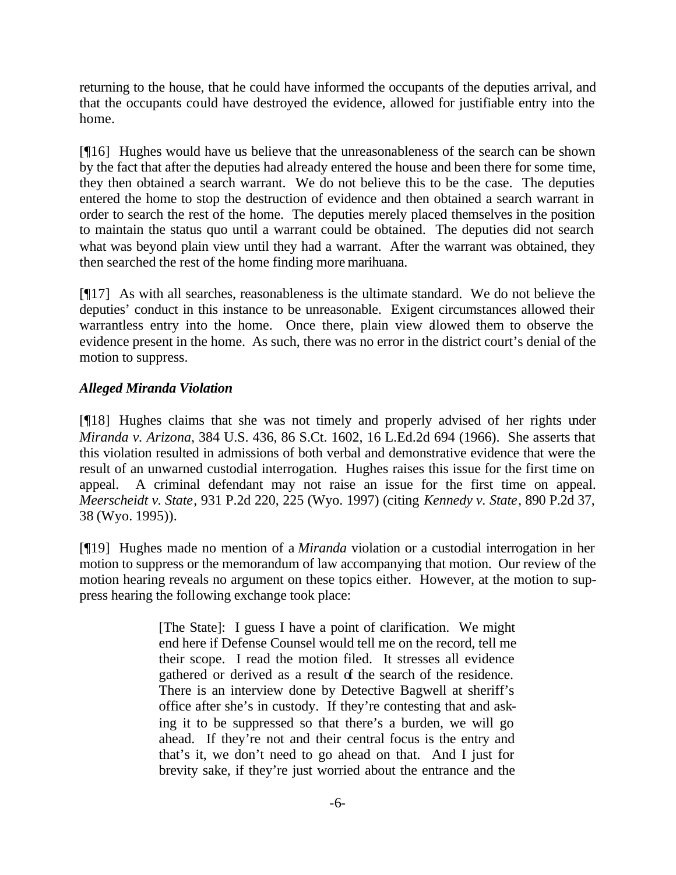returning to the house, that he could have informed the occupants of the deputies arrival, and that the occupants could have destroyed the evidence, allowed for justifiable entry into the home.

[¶16] Hughes would have us believe that the unreasonableness of the search can be shown by the fact that after the deputies had already entered the house and been there for some time, they then obtained a search warrant. We do not believe this to be the case. The deputies entered the home to stop the destruction of evidence and then obtained a search warrant in order to search the rest of the home. The deputies merely placed themselves in the position to maintain the status quo until a warrant could be obtained. The deputies did not search what was beyond plain view until they had a warrant. After the warrant was obtained, they then searched the rest of the home finding more marihuana.

[¶17] As with all searches, reasonableness is the ultimate standard. We do not believe the deputies' conduct in this instance to be unreasonable. Exigent circumstances allowed their warrantless entry into the home. Once there, plain view allowed them to observe the evidence present in the home. As such, there was no error in the district court's denial of the motion to suppress.

# *Alleged Miranda Violation*

[¶18] Hughes claims that she was not timely and properly advised of her rights under *Miranda v. Arizona*, 384 U.S. 436, 86 S.Ct. 1602, 16 L.Ed.2d 694 (1966). She asserts that this violation resulted in admissions of both verbal and demonstrative evidence that were the result of an unwarned custodial interrogation. Hughes raises this issue for the first time on appeal. A criminal defendant may not raise an issue for the first time on appeal. *Meerscheidt v. State*, 931 P.2d 220, 225 (Wyo. 1997) (citing *Kennedy v. State*, 890 P.2d 37, 38 (Wyo. 1995)).

[¶19] Hughes made no mention of a *Miranda* violation or a custodial interrogation in her motion to suppress or the memorandum of law accompanying that motion. Our review of the motion hearing reveals no argument on these topics either. However, at the motion to suppress hearing the following exchange took place:

> [The State]: I guess I have a point of clarification. We might end here if Defense Counsel would tell me on the record, tell me their scope. I read the motion filed. It stresses all evidence gathered or derived as a result of the search of the residence. There is an interview done by Detective Bagwell at sheriff's office after she's in custody. If they're contesting that and asking it to be suppressed so that there's a burden, we will go ahead. If they're not and their central focus is the entry and that's it, we don't need to go ahead on that. And I just for brevity sake, if they're just worried about the entrance and the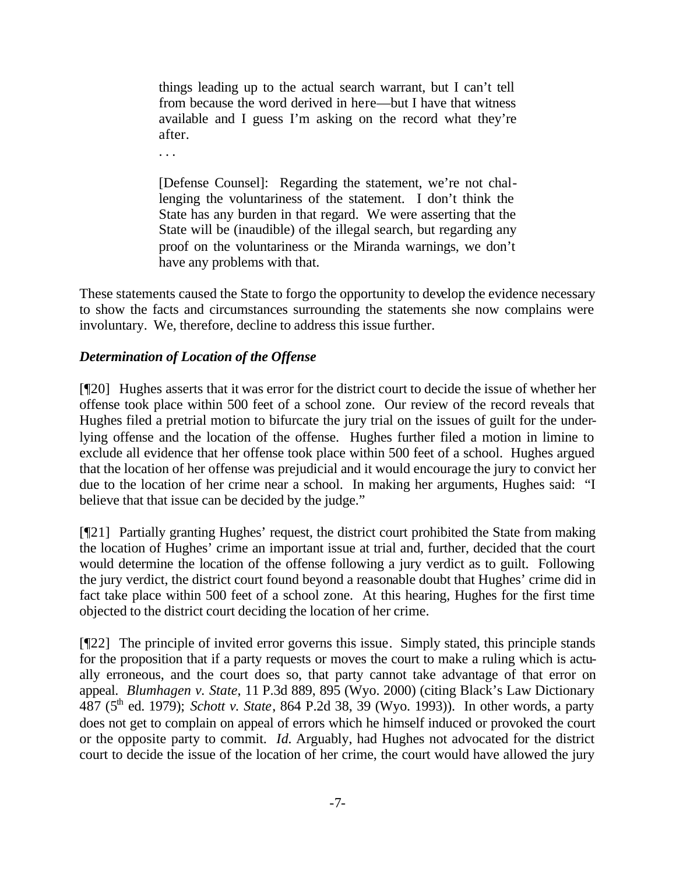things leading up to the actual search warrant, but I can't tell from because the word derived in here—but I have that witness available and I guess I'm asking on the record what they're after.

. . .

[Defense Counsel]: Regarding the statement, we're not challenging the voluntariness of the statement. I don't think the State has any burden in that regard. We were asserting that the State will be (inaudible) of the illegal search, but regarding any proof on the voluntariness or the Miranda warnings, we don't have any problems with that.

These statements caused the State to forgo the opportunity to develop the evidence necessary to show the facts and circumstances surrounding the statements she now complains were involuntary. We, therefore, decline to address this issue further.

# *Determination of Location of the Offense*

[¶20] Hughes asserts that it was error for the district court to decide the issue of whether her offense took place within 500 feet of a school zone. Our review of the record reveals that Hughes filed a pretrial motion to bifurcate the jury trial on the issues of guilt for the underlying offense and the location of the offense. Hughes further filed a motion in limine to exclude all evidence that her offense took place within 500 feet of a school. Hughes argued that the location of her offense was prejudicial and it would encourage the jury to convict her due to the location of her crime near a school. In making her arguments, Hughes said: "I believe that that issue can be decided by the judge."

[¶21] Partially granting Hughes' request, the district court prohibited the State from making the location of Hughes' crime an important issue at trial and, further, decided that the court would determine the location of the offense following a jury verdict as to guilt. Following the jury verdict, the district court found beyond a reasonable doubt that Hughes' crime did in fact take place within 500 feet of a school zone. At this hearing, Hughes for the first time objected to the district court deciding the location of her crime.

[¶22] The principle of invited error governs this issue. Simply stated, this principle stands for the proposition that if a party requests or moves the court to make a ruling which is actually erroneous, and the court does so, that party cannot take advantage of that error on appeal. *Blumhagen v. State*, 11 P.3d 889, 895 (Wyo. 2000) (citing Black's Law Dictionary 487 (5th ed. 1979); *Schott v. State*, 864 P.2d 38, 39 (Wyo. 1993)). In other words, a party does not get to complain on appeal of errors which he himself induced or provoked the court or the opposite party to commit. *Id.* Arguably, had Hughes not advocated for the district court to decide the issue of the location of her crime, the court would have allowed the jury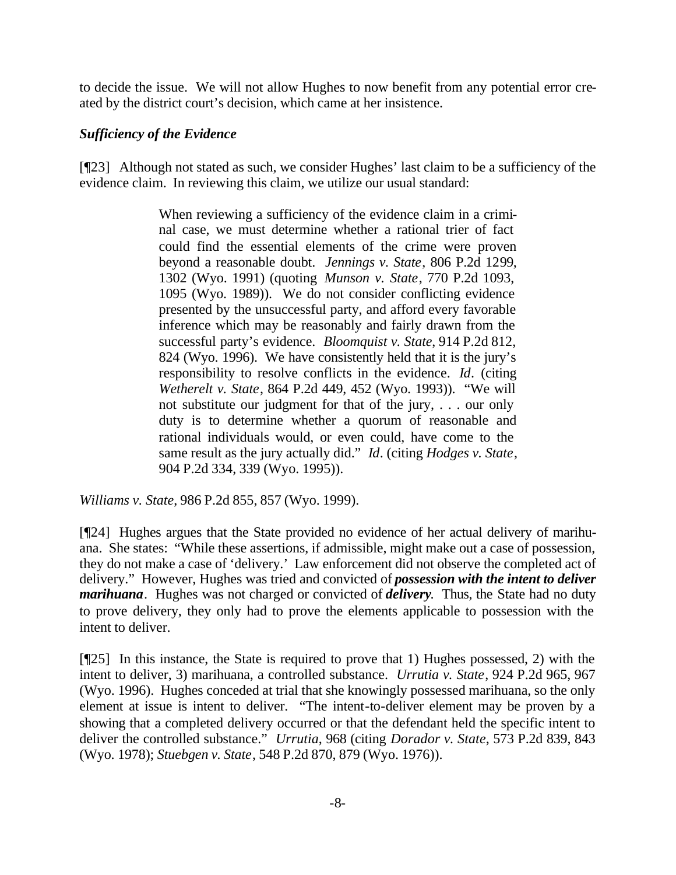to decide the issue. We will not allow Hughes to now benefit from any potential error created by the district court's decision, which came at her insistence.

### *Sufficiency of the Evidence*

[¶23] Although not stated as such, we consider Hughes' last claim to be a sufficiency of the evidence claim. In reviewing this claim, we utilize our usual standard:

> When reviewing a sufficiency of the evidence claim in a criminal case, we must determine whether a rational trier of fact could find the essential elements of the crime were proven beyond a reasonable doubt. *Jennings v. State*, 806 P.2d 1299, 1302 (Wyo. 1991) (quoting *Munson v. State*, 770 P.2d 1093, 1095 (Wyo. 1989)). We do not consider conflicting evidence presented by the unsuccessful party, and afford every favorable inference which may be reasonably and fairly drawn from the successful party's evidence. *Bloomquist v. State*, 914 P.2d 812, 824 (Wyo. 1996). We have consistently held that it is the jury's responsibility to resolve conflicts in the evidence. *Id*. (citing *Wetherelt v. State*, 864 P.2d 449, 452 (Wyo. 1993)). "We will not substitute our judgment for that of the jury, . . . our only duty is to determine whether a quorum of reasonable and rational individuals would, or even could, have come to the same result as the jury actually did." *Id*. (citing *Hodges v. State*, 904 P.2d 334, 339 (Wyo. 1995)).

*Williams v. State*, 986 P.2d 855, 857 (Wyo. 1999).

[¶24] Hughes argues that the State provided no evidence of her actual delivery of marihuana. She states: "While these assertions, if admissible, might make out a case of possession, they do not make a case of 'delivery.' Law enforcement did not observe the completed act of delivery." However, Hughes was tried and convicted of *possession with the intent to deliver marihuana*. Hughes was not charged or convicted of *delivery*. Thus, the State had no duty to prove delivery, they only had to prove the elements applicable to possession with the intent to deliver.

[¶25] In this instance, the State is required to prove that 1) Hughes possessed, 2) with the intent to deliver, 3) marihuana, a controlled substance. *Urrutia v. State*, 924 P.2d 965, 967 (Wyo. 1996). Hughes conceded at trial that she knowingly possessed marihuana, so the only element at issue is intent to deliver. "The intent-to-deliver element may be proven by a showing that a completed delivery occurred or that the defendant held the specific intent to deliver the controlled substance." *Urrutia*, 968 (citing *Dorador v. State*, 573 P.2d 839, 843 (Wyo. 1978); *Stuebgen v. State*, 548 P.2d 870, 879 (Wyo. 1976)).